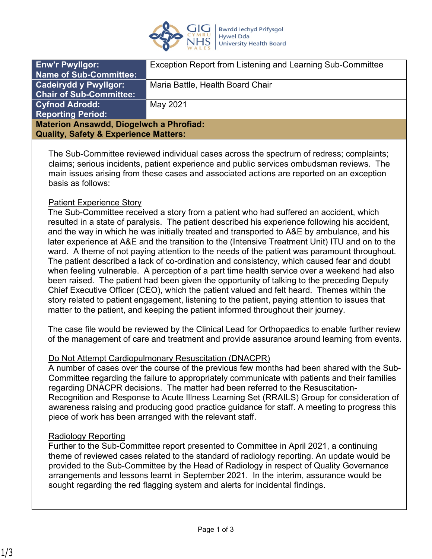

| <b>Enw'r Pwyllgor:</b>                           | Exception Report from Listening and Learning Sub-Committee |
|--------------------------------------------------|------------------------------------------------------------|
| <b>Name of Sub-Committee:</b>                    |                                                            |
| <b>Cadeirydd y Pwyllgor:</b>                     | Maria Battle, Health Board Chair                           |
| <b>Chair of Sub-Committee:</b>                   |                                                            |
| <b>Cyfnod Adrodd:</b>                            | May 2021                                                   |
| <b>Reporting Period:</b>                         |                                                            |
| <b>Materion Ansawdd, Diogelwch a Phrofiad:</b>   |                                                            |
| <b>Quality, Safety &amp; Experience Matters:</b> |                                                            |
|                                                  |                                                            |

The Sub-Committee reviewed individual cases across the spectrum of redress; complaints; claims; serious incidents, patient experience and public services ombudsman reviews. The main issues arising from these cases and associated actions are reported on an exception basis as follows:

#### Patient Experience Story

The Sub-Committee received a story from a patient who had suffered an accident, which resulted in a state of paralysis. The patient described his experience following his accident, and the way in which he was initially treated and transported to A&E by ambulance, and his later experience at A&E and the transition to the (Intensive Treatment Unit) ITU and on to the ward. A theme of not paying attention to the needs of the patient was paramount throughout. The patient described a lack of co-ordination and consistency, which caused fear and doubt when feeling vulnerable. A perception of a part time health service over a weekend had also been raised. The patient had been given the opportunity of talking to the preceding Deputy Chief Executive Officer (CEO), which the patient valued and felt heard. Themes within the story related to patient engagement, listening to the patient, paying attention to issues that matter to the patient, and keeping the patient informed throughout their journey.

The case file would be reviewed by the Clinical Lead for Orthopaedics to enable further review of the management of care and treatment and provide assurance around learning from events.

#### Do Not Attempt Cardiopulmonary Resuscitation (DNACPR)

A number of cases over the course of the previous few months had been shared with the Sub-Committee regarding the failure to appropriately communicate with patients and their families regarding DNACPR decisions. The matter had been referred to the Resuscitation-Recognition and Response to Acute Illness Learning Set (RRAILS) Group for consideration of awareness raising and producing good practice guidance for staff. A meeting to progress this piece of work has been arranged with the relevant staff.

### Radiology Reporting

Further to the Sub-Committee report presented to Committee in April 2021, a continuing theme of reviewed cases related to the standard of radiology reporting. An update would be provided to the Sub-Committee by the Head of Radiology in respect of Quality Governance arrangements and lessons learnt in September 2021. In the interim, assurance would be sought regarding the red flagging system and alerts for incidental findings.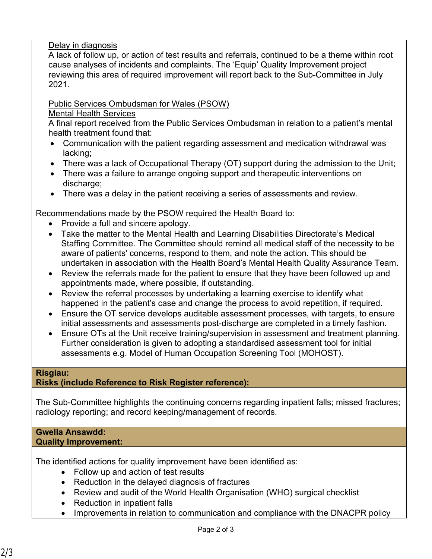# Delay in diagnosis

A lack of follow up, or action of test results and referrals, continued to be a theme within root cause analyses of incidents and complaints. The 'Equip' Quality Improvement project reviewing this area of required improvement will report back to the Sub-Committee in July 2021.

# Public Services Ombudsman for Wales (PSOW)

# Mental Health Services

A final report received from the Public Services Ombudsman in relation to a patient's mental health treatment found that:

- Communication with the patient regarding assessment and medication withdrawal was lacking;
- There was a lack of Occupational Therapy (OT) support during the admission to the Unit;
- There was a failure to arrange ongoing support and therapeutic interventions on discharge:
- There was a delay in the patient receiving a series of assessments and review.

Recommendations made by the PSOW required the Health Board to:

- Provide a full and sincere apology.
- Take the matter to the Mental Health and Learning Disabilities Directorate's Medical Staffing Committee. The Committee should remind all medical staff of the necessity to be aware of patients' concerns, respond to them, and note the action. This should be undertaken in association with the Health Board's Mental Health Quality Assurance Team.
- Review the referrals made for the patient to ensure that they have been followed up and appointments made, where possible, if outstanding.
- Review the referral processes by undertaking a learning exercise to identify what happened in the patient's case and change the process to avoid repetition, if required.
- Ensure the OT service develops auditable assessment processes, with targets, to ensure initial assessments and assessments post-discharge are completed in a timely fashion.
- Ensure OTs at the Unit receive training/supervision in assessment and treatment planning. Further consideration is given to adopting a standardised assessment tool for initial assessments e.g. Model of Human Occupation Screening Tool (MOHOST).

### **Risgiau:**

# **Risks (include Reference to Risk Register reference):**

The Sub-Committee highlights the continuing concerns regarding inpatient falls; missed fractures; radiology reporting; and record keeping/management of records.

#### **Gwella Ansawdd: Quality Improvement:**

The identified actions for quality improvement have been identified as:

- Follow up and action of test results
- Reduction in the delayed diagnosis of fractures
- Review and audit of the World Health Organisation (WHO) surgical checklist
- Reduction in inpatient falls
- Improvements in relation to communication and compliance with the DNACPR policy